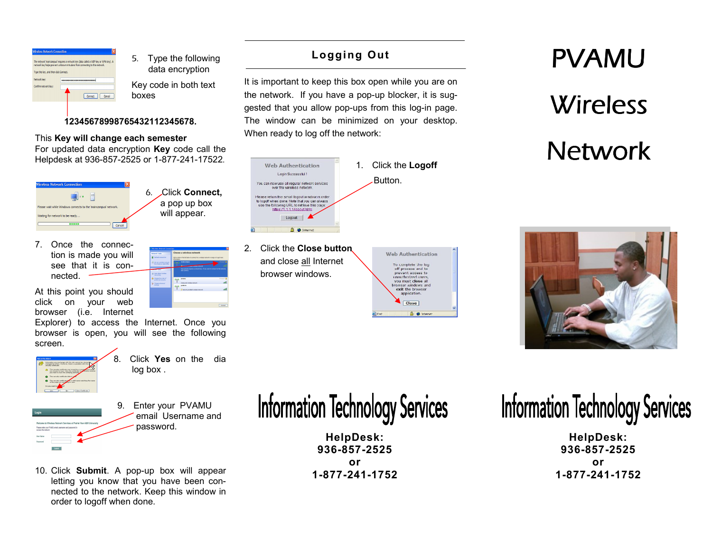

5. Type the following data encryption

Key code in both text boxes

> a pop up box will appear.

#### 12345678998765432112345678.

#### This Key will change each semester

For updated data encryption Key code call the



7. Once the connection is made you will see that it is connected.

At this point you should click on your web browser (i.e. Internet

 Explorer) to access the Internet. Once you browser is open, you will see the following screen.



8. Click Yes on the dialog box .

- 9. Enter your PVAMU email Username and password.
- 10. Click Submit. A pop-up box will appear letting you know that you have been connected to the network. Keep this window in order to logoff when done.

Logging Out

It is important to keep this box open while you are on the network. If you have a pop-up blocker, it is suggested that you allow pop-ups from this log-in page. The window can be minimized on your desktop. When ready to log off the network:



2. Click the Close button and close all Internet browser windows.

| Close                                                                                                                                                                 |  |
|-----------------------------------------------------------------------------------------------------------------------------------------------------------------------|--|
| To complete the log<br>off process and to<br>prevent access to<br>unauthorized users,<br>vou must close al<br>browser windows and<br>exit the browser<br>application. |  |
| <b>Web Authentication</b>                                                                                                                                             |  |

# PVAMU **Wireless** Network



# **Information Technology Services**

HelpDesk: 936-857-2525 or 1-877-241-1752

# **Information Technology Services**

HelpDesk: 936-857-2525 or 1-877-241-1752